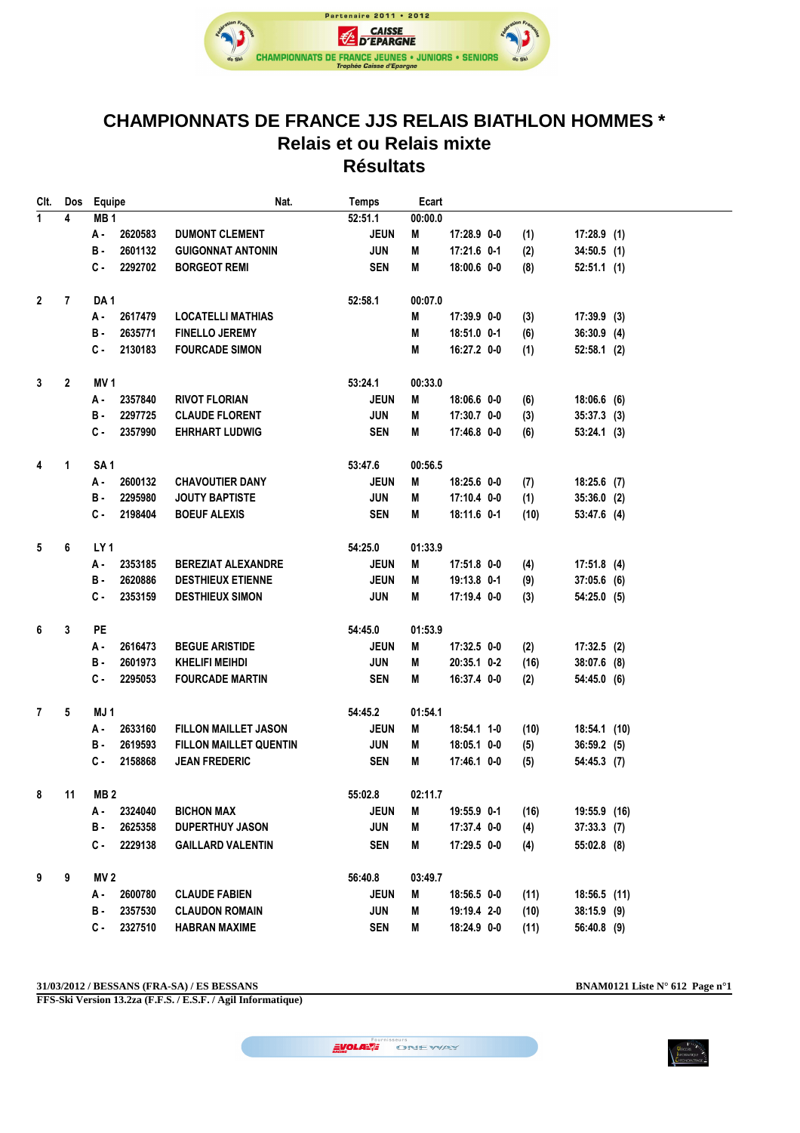

## **CHAMPIONNATS DE FRANCE JJS RELAIS BIATHLON HOMMES \* Relais et ou Relais mixte Résultats**

| CIt.                           | Dos          | Equipe          |                 | Nat.                          | <b>Temps</b> | Ecart   |             |      |                |  |
|--------------------------------|--------------|-----------------|-----------------|-------------------------------|--------------|---------|-------------|------|----------------|--|
| $\overline{1}$                 | 4            | MB <sub>1</sub> |                 |                               | 52:51.1      | 00:00.0 |             |      |                |  |
|                                |              | А.              | 2620583         | <b>DUMONT CLEMENT</b>         | <b>JEUN</b>  | M       | 17:28.9 0-0 | (1)  | $17:28.9$ (1)  |  |
|                                |              | в.              | 2601132         | <b>GUIGONNAT ANTONIN</b>      | <b>JUN</b>   | M       | 17:21.6 0-1 | (2)  | $34:50.5$ (1)  |  |
|                                |              | $c -$           | 2292702         | <b>BORGEOT REMI</b>           | <b>SEN</b>   | M       | 18:00.6 0-0 | (8)  | $52:51.1$ (1)  |  |
| $\mathbf{2}$<br>$\overline{7}$ |              | DA <sub>1</sub> |                 |                               | 52:58.1      | 00:07.0 |             |      |                |  |
|                                |              | А.              | 2617479         | <b>LOCATELLI MATHIAS</b>      |              | M       | 17:39.9 0-0 | (3)  | $17:39.9$ (3)  |  |
|                                |              | в.              | 2635771         | <b>FINELLO JEREMY</b>         |              | M       | 18:51.0 0-1 | (6)  | $36:30.9$ (4)  |  |
|                                |              | C.              | 2130183         | <b>FOURCADE SIMON</b>         |              | M       | 16:27.2 0-0 | (1)  | $52:58.1$ (2)  |  |
| $\mathbf{3}$                   | $\mathbf{2}$ | MV <sub>1</sub> |                 |                               | 53:24.1      | 00:33.0 |             |      |                |  |
|                                |              | А -             | 2357840         | <b>RIVOT FLORIAN</b>          | <b>JEUN</b>  | M       | 18:06.6 0-0 | (6)  | $18:06.6$ (6)  |  |
|                                |              | в.              | 2297725         | <b>CLAUDE FLORENT</b>         | <b>JUN</b>   | M       | 17:30.7 0-0 | (3)  | $35:37.3$ (3)  |  |
|                                |              | С.              | 2357990         | <b>EHRHART LUDWIG</b>         | <b>SEN</b>   | M       | 17:46.8 0-0 | (6)  | 53:24.1(3)     |  |
| 4                              | 1            | SA <sub>1</sub> |                 |                               | 53:47.6      | 00:56.5 |             |      |                |  |
|                                |              | А.              | 2600132         | <b>CHAVOUTIER DANY</b>        | <b>JEUN</b>  | Μ       | 18:25.6 0-0 | (7)  | $18:25.6$ (7)  |  |
|                                |              | в.              | 2295980         | <b>JOUTY BAPTISTE</b>         | <b>JUN</b>   | Μ       | 17:10.4 0-0 | (1)  | 35:36.0 (2)    |  |
|                                |              | С.              | 2198404         | <b>BOEUF ALEXIS</b>           | <b>SEN</b>   | Μ       | 18:11.6 0-1 | (10) | $53:47.6$ (4)  |  |
| 5                              | 6            | LY <sub>1</sub> |                 |                               | 54:25.0      | 01:33.9 |             |      |                |  |
|                                |              | А -             | 2353185         | <b>BEREZIAT ALEXANDRE</b>     | <b>JEUN</b>  | M       | 17:51.8 0-0 | (4)  | $17:51.8$ (4)  |  |
|                                |              | В.              | 2620886         | <b>DESTHIEUX ETIENNE</b>      | <b>JEUN</b>  | M       | 19:13.8 0-1 | (9)  | $37:05.6$ (6)  |  |
|                                |              | С.              | 2353159         | <b>DESTHIEUX SIMON</b>        | <b>JUN</b>   | M       | 17:19.4 0-0 | (3)  | 54:25.0 (5)    |  |
| 6                              | 3            | PE              |                 |                               | 54:45.0      | 01:53.9 |             |      |                |  |
|                                |              | А.              | 2616473         | <b>BEGUE ARISTIDE</b>         | <b>JEUN</b>  | M       | 17:32.5 0-0 | (2)  | $17:32.5$ (2)  |  |
|                                |              | В.              | 2601973         | <b>KHELIFI MEIHDI</b>         | <b>JUN</b>   | M       | 20:35.1 0-2 | (16) | 38:07.6 (8)    |  |
|                                |              | С.              | 2295053         | <b>FOURCADE MARTIN</b>        | <b>SEN</b>   | M       | 16:37.4 0-0 | (2)  | 54:45.0 (6)    |  |
| $\mathbf{7}$                   | 5            | MJ <sub>1</sub> |                 |                               | 54:45.2      | 01:54.1 |             |      |                |  |
|                                |              | А -             | 2633160         | <b>FILLON MAILLET JASON</b>   | <b>JEUN</b>  | M       | 18:54.1 1-0 | (10) | 18:54.1 (10)   |  |
|                                |              | в.              | 2619593         | <b>FILLON MAILLET QUENTIN</b> | <b>JUN</b>   | M       | 18:05.1 0-0 | (5)  | 36:59.2(5)     |  |
|                                |              | с.              | 2158868         | <b>JEAN FREDERIC</b>          | <b>SEN</b>   | M       | 17:46.1 0-0 | (5)  | 54:45.3 (7)    |  |
| 8<br>11                        |              |                 | MB <sub>2</sub> |                               | 55:02.8      | 02:11.7 |             |      |                |  |
|                                |              | А -             | 2324040         | <b>BICHON MAX</b>             | <b>JEUN</b>  | M       | 19:55.9 0-1 | (16) | 19:55.9 (16)   |  |
|                                |              | в.              | 2625358         | <b>DUPERTHUY JASON</b>        | <b>JUN</b>   | Μ       | 17:37.4 0-0 | (4)  | $37:33.3$ (7)  |  |
|                                |              | С.              | 2229138         | <b>GAILLARD VALENTIN</b>      | <b>SEN</b>   | M       | 17:29.5 0-0 | (4)  | 55:02.8 (8)    |  |
| 9<br>9                         |              | MV <sub>2</sub> |                 |                               | 56:40.8      | 03:49.7 |             |      |                |  |
|                                |              | А -             | 2600780         | <b>CLAUDE FABIEN</b>          | <b>JEUN</b>  | M       | 18:56.5 0-0 | (11) | $18:56.5$ (11) |  |
|                                |              | В.              | 2357530         | <b>CLAUDON ROMAIN</b>         | <b>JUN</b>   | Μ       | 19:19.4 2-0 | (10) | 38:15.9 (9)    |  |
|                                |              | C-              | 2327510         | <b>HABRAN MAXIME</b>          | <b>SEN</b>   | Μ       | 18:24.9 0-0 | (11) | 56:40.8 (9)    |  |

**31/03/2012 / BESSANS (FRA-SA) / ES BESSANS BNAM0121 Liste N° 612 Page n°1**

**FFS-Ski Version 13.2za (F.F.S. / E.S.F. / Agil Informatique)**